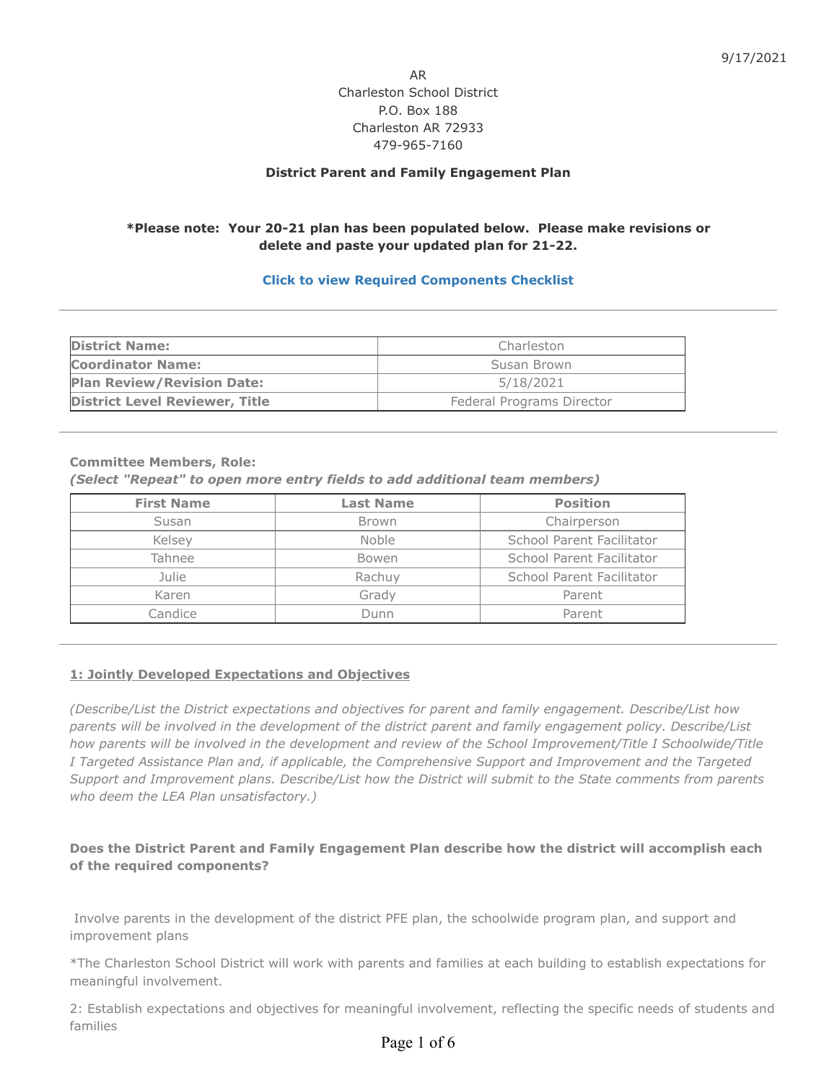AR Charleston School District P.O. Box 188 Charleston AR 72933 479-965-7160

#### **District Parent and Family Engagement Plan**

# **\*Please note: Your 20-21 plan has been populated below. Please make revisions or delete and paste your updated plan for 21-22.**

### **[Click to view Required Components Checklist](https://www.indistar.org/app/DashboardDocs/Arkansas/2021FamilyEngChecklistComponents_District.pdf)**

| <b>District Name:</b><br>Charleston            |                           |  |
|------------------------------------------------|---------------------------|--|
| <b>Coordinator Name:</b>                       | Susan Brown               |  |
| <b>Plan Review/Revision Date:</b><br>5/18/2021 |                           |  |
| <b>District Level Reviewer, Title</b>          | Federal Programs Director |  |

#### **Committee Members, Role:**

*(Select "Repeat" to open more entry fields to add additional team members)*

| <b>First Name</b> | <b>Last Name</b> | <b>Position</b>           |
|-------------------|------------------|---------------------------|
| Susan             | <b>Brown</b>     | Chairperson               |
| Kelsev            | <b>Noble</b>     | School Parent Facilitator |
| Tahnee            | Bowen            | School Parent Facilitator |
| Julie             | Rachuv           | School Parent Facilitator |
| Karen             | Grady            | Parent                    |
| Candice           | Dunn             | Parent                    |

#### **1: Jointly Developed Expectations and Objectives**

*(Describe/List the District expectations and objectives for parent and family engagement. Describe/List how parents will be involved in the development of the district parent and family engagement policy. Describe/List how parents will be involved in the development and review of the School Improvement/Title I Schoolwide/Title I Targeted Assistance Plan and, if applicable, the Comprehensive Support and Improvement and the Targeted Support and Improvement plans. Describe/List how the District will submit to the State comments from parents who deem the LEA Plan unsatisfactory.)*

# **Does the District Parent and Family Engagement Plan describe how the district will accomplish each of the required components?**

 Involve parents in the development of the district PFE plan, the schoolwide program plan, and support and improvement plans

\*The Charleston School District will work with parents and families at each building to establish expectations for meaningful involvement.

2: Establish expectations and objectives for meaningful involvement, reflecting the specific needs of students and families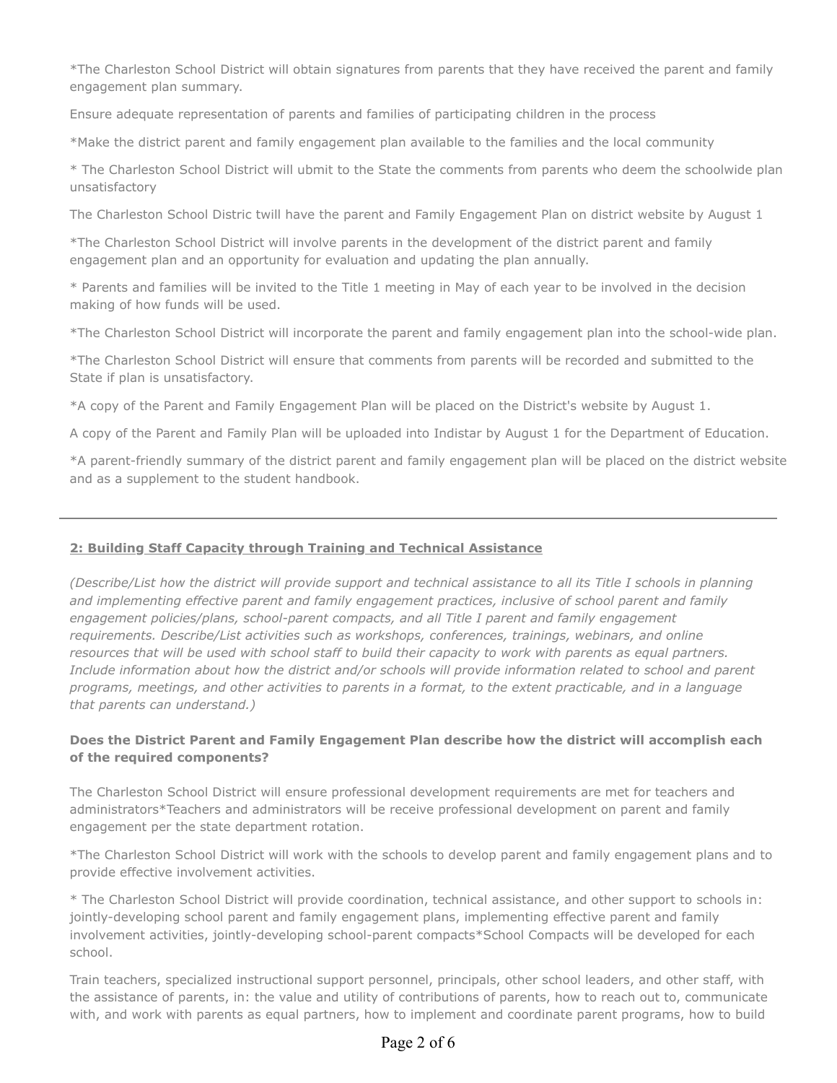\*The Charleston School District will obtain signatures from parents that they have received the parent and family engagement plan summary.

Ensure adequate representation of parents and families of participating children in the process

\*Make the district parent and family engagement plan available to the families and the local community

\* The Charleston School District will ubmit to the State the comments from parents who deem the schoolwide plan unsatisfactory

The Charleston School Distric twill have the parent and Family Engagement Plan on district website by August 1

\*The Charleston School District will involve parents in the development of the district parent and family engagement plan and an opportunity for evaluation and updating the plan annually.

\* Parents and families will be invited to the Title 1 meeting in May of each year to be involved in the decision making of how funds will be used.

\*The Charleston School District will incorporate the parent and family engagement plan into the school-wide plan.

\*The Charleston School District will ensure that comments from parents will be recorded and submitted to the State if plan is unsatisfactory.

\*A copy of the Parent and Family Engagement Plan will be placed on the District's website by August 1.

A copy of the Parent and Family Plan will be uploaded into Indistar by August 1 for the Department of Education.

\*A parent-friendly summary of the district parent and family engagement plan will be placed on the district website and as a supplement to the student handbook.

# **2: Building Staff Capacity through Training and Technical Assistance**

*(Describe/List how the district will provide support and technical assistance to all its Title I schools in planning and implementing effective parent and family engagement practices, inclusive of school parent and family engagement policies/plans, school-parent compacts, and all Title I parent and family engagement requirements. Describe/List activities such as workshops, conferences, trainings, webinars, and online* resources that will be used with school staff to build their capacity to work with parents as equal partners. *Include information about how the district and/or schools will provide information related to school and parent programs, meetings, and other activities to parents in a format, to the extent practicable, and in a language that parents can understand.)*

# **Does the District Parent and Family Engagement Plan describe how the district will accomplish each of the required components?**

The Charleston School District will ensure professional development requirements are met for teachers and administrators\*Teachers and administrators will be receive professional development on parent and family engagement per the state department rotation.

\*The Charleston School District will work with the schools to develop parent and family engagement plans and to provide effective involvement activities.

\* The Charleston School District will provide coordination, technical assistance, and other support to schools in: jointly-developing school parent and family engagement plans, implementing effective parent and family involvement activities, jointly-developing school-parent compacts\*School Compacts will be developed for each school.

Train teachers, specialized instructional support personnel, principals, other school leaders, and other staff, with the assistance of parents, in: the value and utility of contributions of parents, how to reach out to, communicate with, and work with parents as equal partners, how to implement and coordinate parent programs, how to build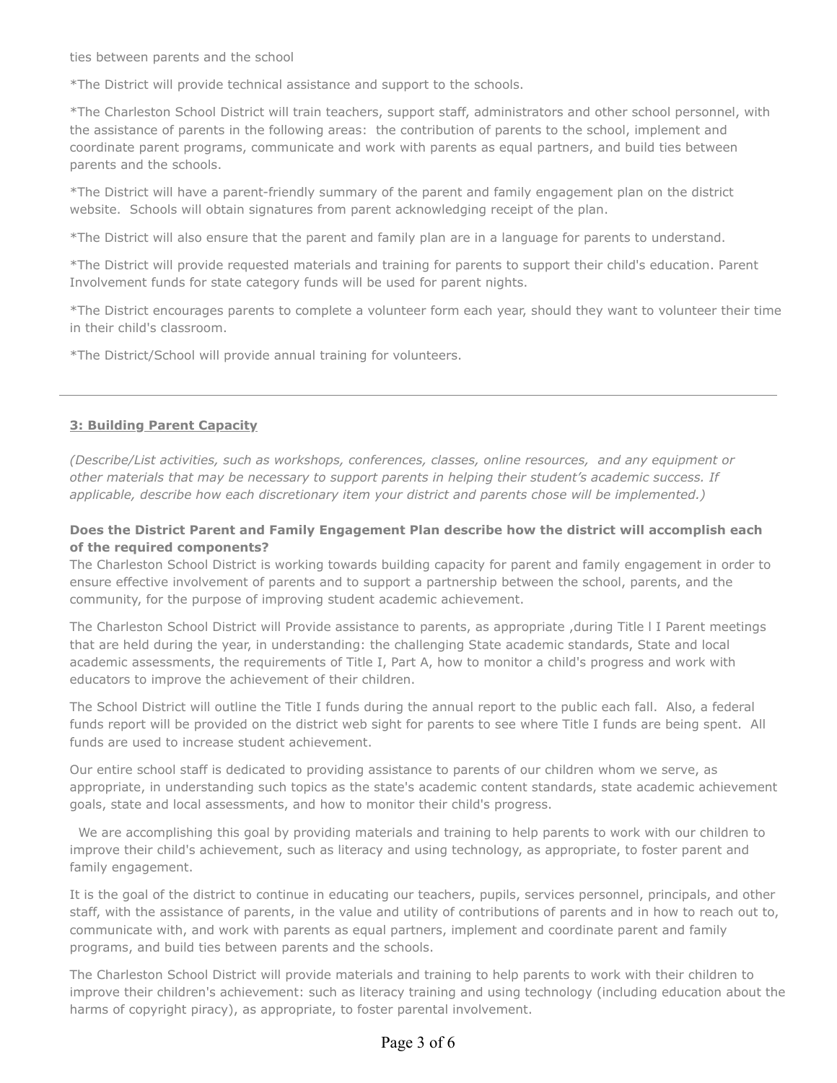ties between parents and the school

\*The District will provide technical assistance and support to the schools.

\*The Charleston School District will train teachers, support staff, administrators and other school personnel, with the assistance of parents in the following areas: the contribution of parents to the school, implement and coordinate parent programs, communicate and work with parents as equal partners, and build ties between parents and the schools.

\*The District will have a parent-friendly summary of the parent and family engagement plan on the district website. Schools will obtain signatures from parent acknowledging receipt of the plan.

\*The District will also ensure that the parent and family plan are in a language for parents to understand.

\*The District will provide requested materials and training for parents to support their child's education. Parent Involvement funds for state category funds will be used for parent nights.

\*The District encourages parents to complete a volunteer form each year, should they want to volunteer their time in their child's classroom.

\*The District/School will provide annual training for volunteers.

# **3: Building Parent Capacity**

*(Describe/List activities, such as workshops, conferences, classes, online resources, and any equipment or other materials that may be necessary to support parents in helping their student's academic success. If applicable, describe how each discretionary item your district and parents chose will be implemented.)*

### **Does the District Parent and Family Engagement Plan describe how the district will accomplish each of the required components?**

The Charleston School District is working towards building capacity for parent and family engagement in order to ensure effective involvement of parents and to support a partnership between the school, parents, and the community, for the purpose of improving student academic achievement.

The Charleston School District will Provide assistance to parents, as appropriate ,during Title l I Parent meetings that are held during the year, in understanding: the challenging State academic standards, State and local academic assessments, the requirements of Title I, Part A, how to monitor a child's progress and work with educators to improve the achievement of their children.

The School District will outline the Title I funds during the annual report to the public each fall. Also, a federal funds report will be provided on the district web sight for parents to see where Title I funds are being spent. All funds are used to increase student achievement.

Our entire school staff is dedicated to providing assistance to parents of our children whom we serve, as appropriate, in understanding such topics as the state's academic content standards, state academic achievement goals, state and local assessments, and how to monitor their child's progress.

 We are accomplishing this goal by providing materials and training to help parents to work with our children to improve their child's achievement, such as literacy and using technology, as appropriate, to foster parent and family engagement.

It is the goal of the district to continue in educating our teachers, pupils, services personnel, principals, and other staff, with the assistance of parents, in the value and utility of contributions of parents and in how to reach out to, communicate with, and work with parents as equal partners, implement and coordinate parent and family programs, and build ties between parents and the schools.

The Charleston School District will provide materials and training to help parents to work with their children to improve their children's achievement: such as literacy training and using technology (including education about the harms of copyright piracy), as appropriate, to foster parental involvement.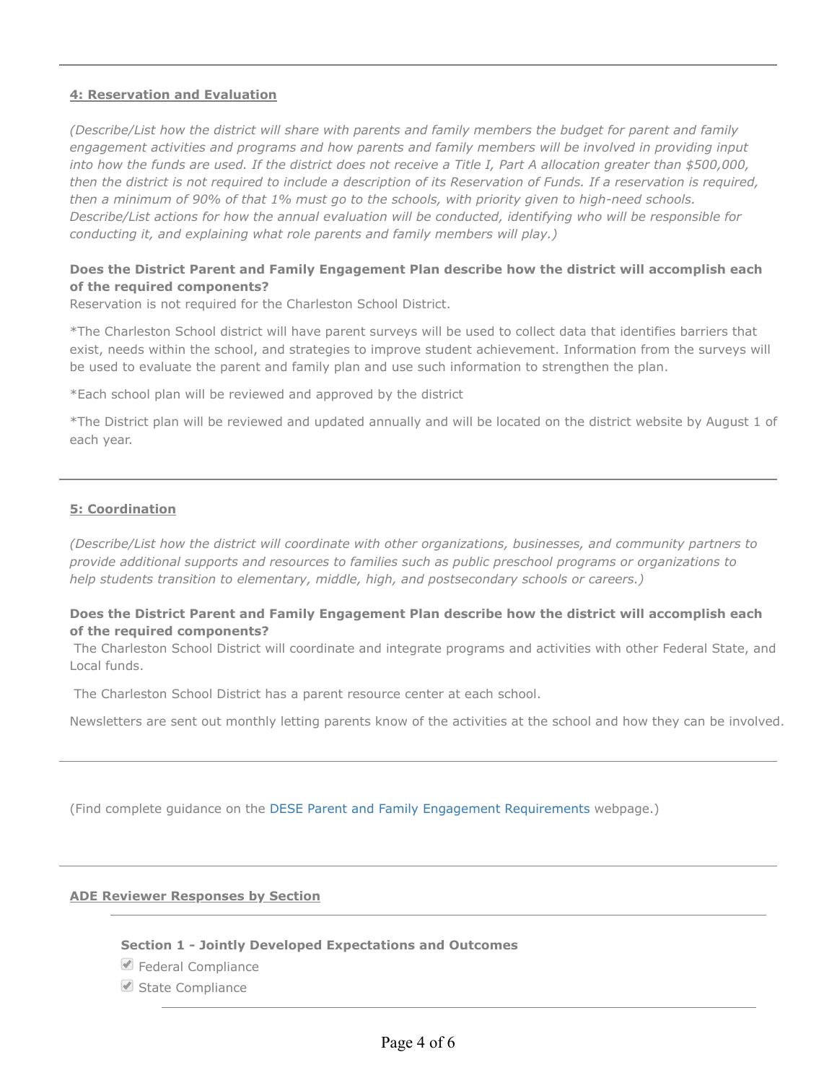### **4: Reservation and Evaluation**

*(Describe/List how the district will share with parents and family members the budget for parent and family engagement activities and programs and how parents and family members will be involved in providing input into how the funds are used. If the district does not receive a Title I, Part A allocation greater than \$500,000, then the district is not required to include a description of its Reservation of Funds. If a reservation is required, then a minimum of 90% of that 1% must go to the schools, with priority given to high-need schools. Describe/List actions for how the annual evaluation will be conducted, identifying who will be responsible for conducting it, and explaining what role parents and family members will play.)*

# **Does the District Parent and Family Engagement Plan describe how the district will accomplish each of the required components?**

Reservation is not required for the Charleston School District.

\*The Charleston School district will have parent surveys will be used to collect data that identifies barriers that exist, needs within the school, and strategies to improve student achievement. Information from the surveys will be used to evaluate the parent and family plan and use such information to strengthen the plan.

\*Each school plan will be reviewed and approved by the district

\*The District plan will be reviewed and updated annually and will be located on the district website by August 1 of each year.

### **5: Coordination**

*(Describe/List how the district will coordinate with other organizations, businesses, and community partners to provide additional supports and resources to families such as public preschool programs or organizations to help students transition to elementary, middle, high, and postsecondary schools or careers.)*

### **Does the District Parent and Family Engagement Plan describe how the district will accomplish each of the required components?**

 The Charleston School District will coordinate and integrate programs and activities with other Federal State, and Local funds.

The Charleston School District has a parent resource center at each school.

Newsletters are sent out monthly letting parents know of the activities at the school and how they can be involved.

(Find complete guidance on the [DESE Parent and Family Engagement Requirements](https://dese.ade.arkansas.gov/Offices/public-school-accountability/federal-programs/parent-and-family-engagement-requirements) webpage.)

#### **ADE Reviewer Responses by Section**

#### **Section 1 - Jointly Developed Expectations and Outcomes**

- Federal Compliance
- State Compliance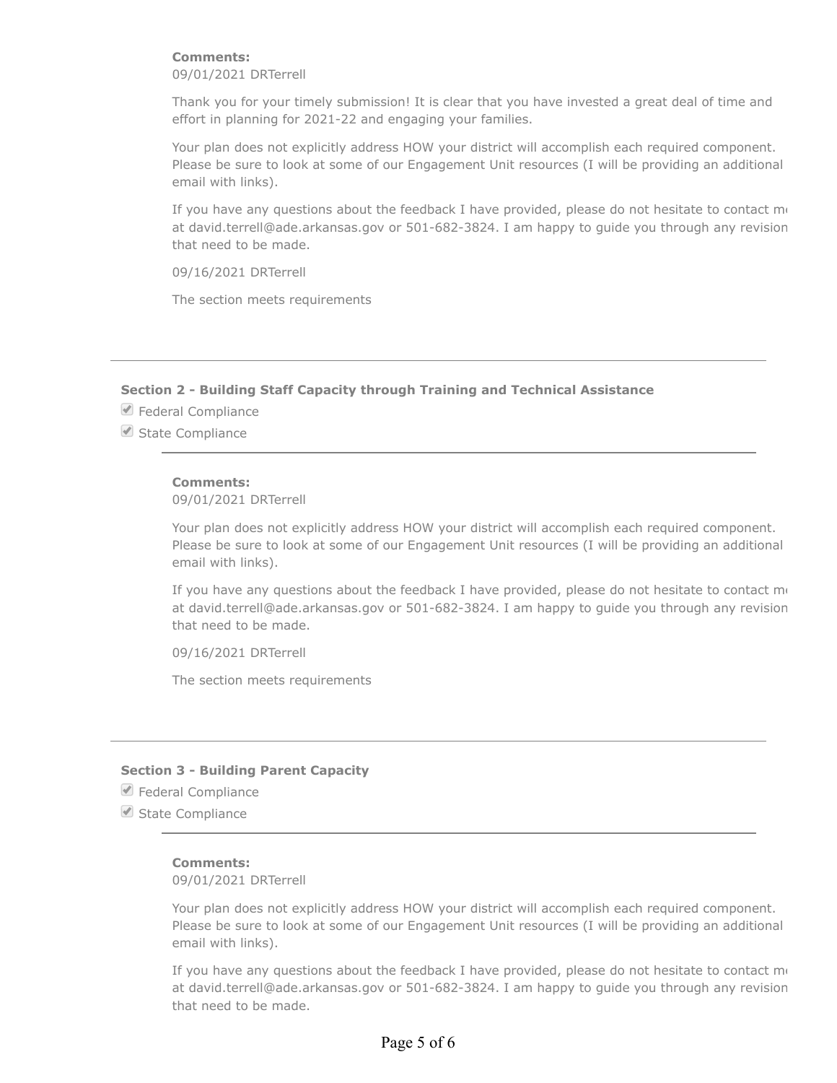### **Comments:**

09/01/2021 DRTerrell

Thank you for your timely submission! It is clear that you have invested a great deal of time and effort in planning for 2021-22 and engaging your families.

Your plan does not explicitly address HOW your district will accomplish each required component. Please be sure to look at some of our Engagement Unit resources (I will be providing an additional email with links).

If you have any questions about the feedback I have provided, please do not hesitate to contact  $m\epsilon$ at david.terrell@ade.arkansas.gov or 501-682-3824. I am happy to guide you through any revision that need to be made.

09/16/2021 DRTerrell

The section meets requirements

# **Section 2 - Building Staff Capacity through Training and Technical Assistance**

**■** Federal Compliance

State Compliance

#### **Comments:**

09/01/2021 DRTerrell

Your plan does not explicitly address HOW your district will accomplish each required component. Please be sure to look at some of our Engagement Unit resources (I will be providing an additional email with links).

If you have any questions about the feedback I have provided, please do not hesitate to contact  $m_{\ell}$ at david.terrell@ade.arkansas.gov or 501-682-3824. I am happy to guide you through any revision that need to be made.

09/16/2021 DRTerrell

The section meets requirements

### **Section 3 - Building Parent Capacity**

**■** Federal Compliance

State Compliance

#### **Comments:**

09/01/2021 DRTerrell

Your plan does not explicitly address HOW your district will accomplish each required component. Please be sure to look at some of our Engagement Unit resources (I will be providing an additional email with links).

If you have any questions about the feedback I have provided, please do not hesitate to contact  $m\epsilon$ at david.terrell@ade.arkansas.gov or 501-682-3824. I am happy to guide you through any revision that need to be made.